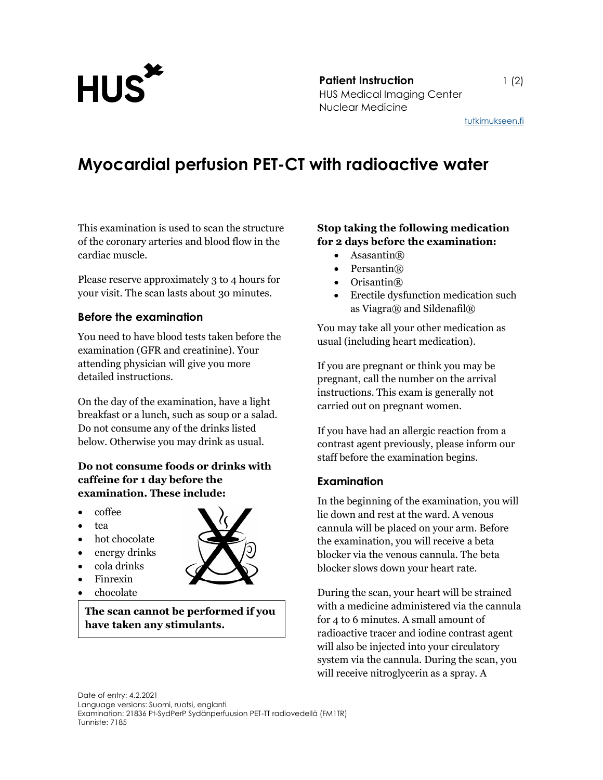

**Patient Instruction** 1 (2) Patient Instruction<br>HUS Medical Imaging Center Nuclear Medicine

tutkimukseen.fi

## Myocardial perfusion PET-CT with radioactive water

This examination is used to scan the structure of the coronary arteries and blood flow in the cardiac muscle.

Please reserve approximately 3 to 4 hours for your visit. The scan lasts about 30 minutes.

#### Before the examination

You need to have blood tests taken before the examination (GFR and creatinine). Your attending physician will give you more detailed instructions.

On the day of the examination, have a light breakfast or a lunch, such as soup or a salad. Do not consume any of the drinks listed below. Otherwise you may drink as usual.

### Do not consume foods or drinks with caffeine for 1 day before the examination. These include:

- coffee
- tea

.

- hot chocolate
- energy drinks
- cola drinks
- Finrexin
- chocolate

The scan cannot be performed if you have taken any stimulants.

#### Stop taking the following medication for 2 days before the examination:

- Asasantin $(\mathbb{R})$
- Persantin®
- Orisantin®
- Erectile dysfunction medication such as Viagra® and Sildenafil®

You may take all your other medication as usual (including heart medication).

If you are pregnant or think you may be pregnant, call the number on the arrival instructions. This exam is generally not carried out on pregnant women.

If you have had an allergic reaction from a contrast agent previously, please inform our staff before the examination begins.

#### Examination

In the beginning of the examination, you will lie down and rest at the ward. A venous cannula will be placed on your arm. Before the examination, you will receive a beta blocker via the venous cannula. The beta blocker slows down your heart rate.

During the scan, your heart will be strained with a medicine administered via the cannula for 4 to 6 minutes. A small amount of radioactive tracer and iodine contrast agent will also be injected into your circulatory system via the cannula. During the scan, you will receive nitroglycerin as a spray. A